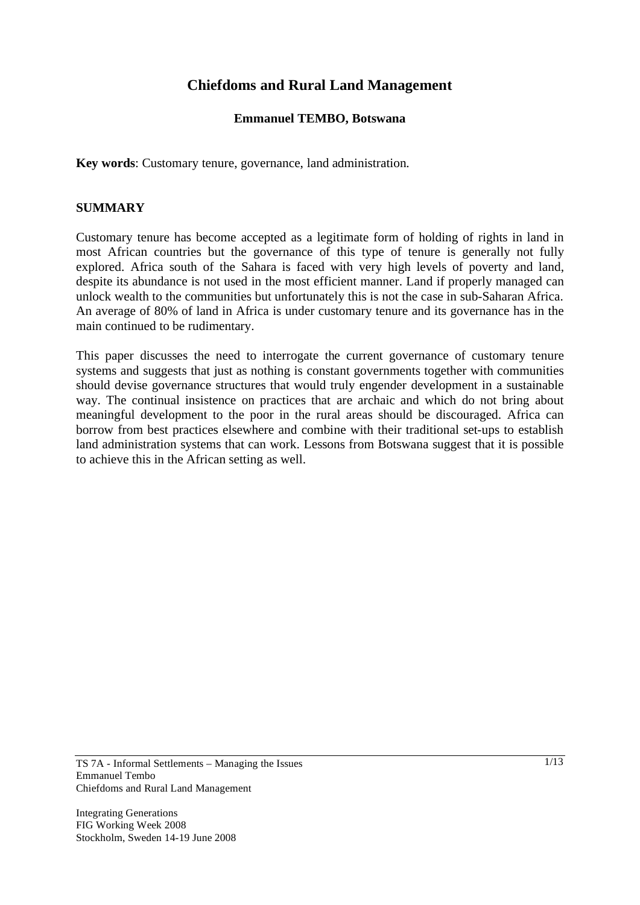# **Chiefdoms and Rural Land Management**

## **Emmanuel TEMBO, Botswana**

**Key words**: Customary tenure, governance, land administration.

#### **SUMMARY**

Customary tenure has become accepted as a legitimate form of holding of rights in land in most African countries but the governance of this type of tenure is generally not fully explored. Africa south of the Sahara is faced with very high levels of poverty and land, despite its abundance is not used in the most efficient manner. Land if properly managed can unlock wealth to the communities but unfortunately this is not the case in sub-Saharan Africa. An average of 80% of land in Africa is under customary tenure and its governance has in the main continued to be rudimentary.

This paper discusses the need to interrogate the current governance of customary tenure systems and suggests that just as nothing is constant governments together with communities should devise governance structures that would truly engender development in a sustainable way. The continual insistence on practices that are archaic and which do not bring about meaningful development to the poor in the rural areas should be discouraged. Africa can borrow from best practices elsewhere and combine with their traditional set-ups to establish land administration systems that can work. Lessons from Botswana suggest that it is possible to achieve this in the African setting as well.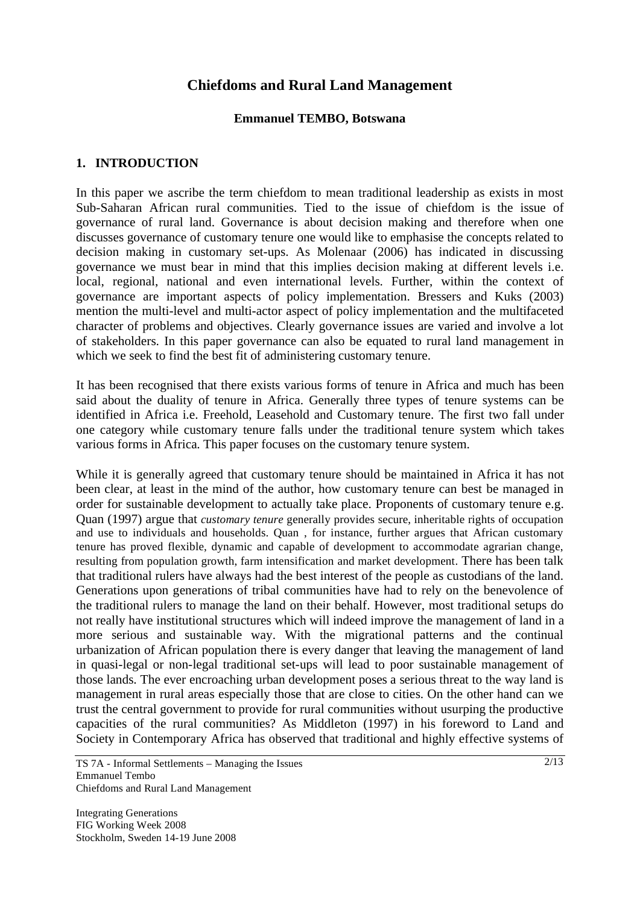# **Chiefdoms and Rural Land Management**

#### **Emmanuel TEMBO, Botswana**

### **1. INTRODUCTION**

In this paper we ascribe the term chiefdom to mean traditional leadership as exists in most Sub-Saharan African rural communities. Tied to the issue of chiefdom is the issue of governance of rural land. Governance is about decision making and therefore when one discusses governance of customary tenure one would like to emphasise the concepts related to decision making in customary set-ups. As Molenaar (2006) has indicated in discussing governance we must bear in mind that this implies decision making at different levels i.e. local, regional, national and even international levels. Further, within the context of governance are important aspects of policy implementation. Bressers and Kuks (2003) mention the multi-level and multi-actor aspect of policy implementation and the multifaceted character of problems and objectives. Clearly governance issues are varied and involve a lot of stakeholders. In this paper governance can also be equated to rural land management in which we seek to find the best fit of administering customary tenure.

It has been recognised that there exists various forms of tenure in Africa and much has been said about the duality of tenure in Africa. Generally three types of tenure systems can be identified in Africa i.e. Freehold, Leasehold and Customary tenure. The first two fall under one category while customary tenure falls under the traditional tenure system which takes various forms in Africa. This paper focuses on the customary tenure system.

While it is generally agreed that customary tenure should be maintained in Africa it has not been clear, at least in the mind of the author, how customary tenure can best be managed in order for sustainable development to actually take place. Proponents of customary tenure e.g. Quan (1997) argue that *customary tenure* generally provides secure, inheritable rights of occupation and use to individuals and households. Quan , for instance, further argues that African customary tenure has proved flexible, dynamic and capable of development to accommodate agrarian change, resulting from population growth, farm intensification and market development. There has been talk that traditional rulers have always had the best interest of the people as custodians of the land. Generations upon generations of tribal communities have had to rely on the benevolence of the traditional rulers to manage the land on their behalf. However, most traditional setups do not really have institutional structures which will indeed improve the management of land in a more serious and sustainable way. With the migrational patterns and the continual urbanization of African population there is every danger that leaving the management of land in quasi-legal or non-legal traditional set-ups will lead to poor sustainable management of those lands. The ever encroaching urban development poses a serious threat to the way land is management in rural areas especially those that are close to cities. On the other hand can we trust the central government to provide for rural communities without usurping the productive capacities of the rural communities? As Middleton (1997) in his foreword to Land and Society in Contemporary Africa has observed that traditional and highly effective systems of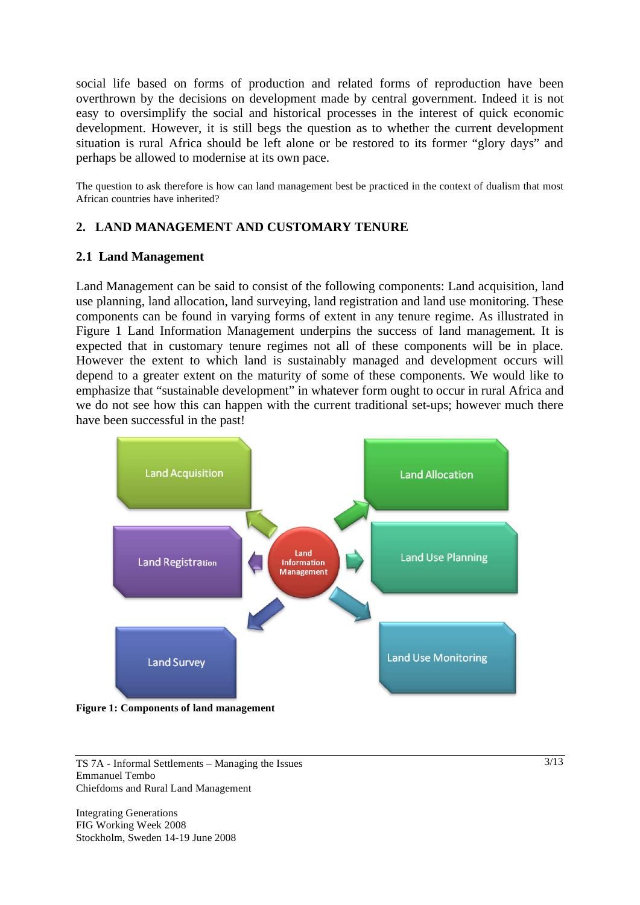social life based on forms of production and related forms of reproduction have been overthrown by the decisions on development made by central government. Indeed it is not easy to oversimplify the social and historical processes in the interest of quick economic development. However, it is still begs the question as to whether the current development situation is rural Africa should be left alone or be restored to its former "glory days" and perhaps be allowed to modernise at its own pace.

The question to ask therefore is how can land management best be practiced in the context of dualism that most African countries have inherited?

## **2. LAND MANAGEMENT AND CUSTOMARY TENURE**

#### **2.1 Land Management**

Land Management can be said to consist of the following components: Land acquisition, land use planning, land allocation, land surveying, land registration and land use monitoring. These components can be found in varying forms of extent in any tenure regime. As illustrated in Figure 1 Land Information Management underpins the success of land management. It is expected that in customary tenure regimes not all of these components will be in place. However the extent to which land is sustainably managed and development occurs will depend to a greater extent on the maturity of some of these components. We would like to emphasize that "sustainable development" in whatever form ought to occur in rural Africa and we do not see how this can happen with the current traditional set-ups; however much there have been successful in the past!



**Figure 1: Components of land management** 

TS 7A - Informal Settlements – Managing the Issues Emmanuel Tembo Chiefdoms and Rural Land Management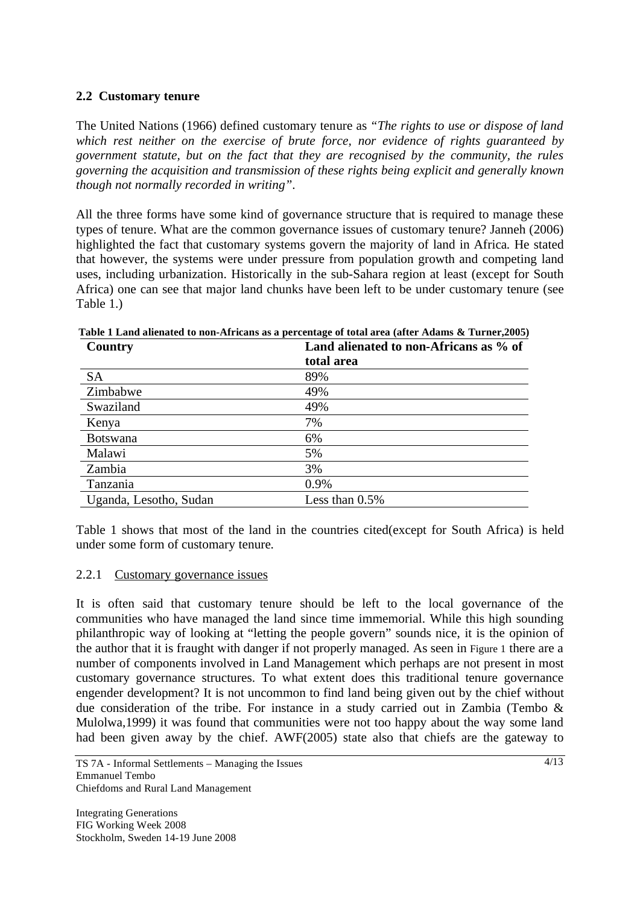## **2.2 Customary tenure**

The United Nations (1966) defined customary tenure as *"The rights to use or dispose of land which rest neither on the exercise of brute force, nor evidence of rights guaranteed by government statute, but on the fact that they are recognised by the community, the rules governing the acquisition and transmission of these rights being explicit and generally known though not normally recorded in writing"*.

All the three forms have some kind of governance structure that is required to manage these types of tenure. What are the common governance issues of customary tenure? Janneh (2006) highlighted the fact that customary systems govern the majority of land in Africa. He stated that however, the systems were under pressure from population growth and competing land uses, including urbanization. Historically in the sub-Sahara region at least (except for South Africa) one can see that major land chunks have been left to be under customary tenure (see Table 1.)

| Country                | Land alienated to non-Africans as % of |
|------------------------|----------------------------------------|
|                        | total area                             |
| <b>SA</b>              | 89%                                    |
| Zimbabwe               | 49%                                    |
| Swaziland              | 49%                                    |
| Kenya                  | 7%                                     |
| <b>Botswana</b>        | 6%                                     |
| Malawi                 | 5%                                     |
| Zambia                 | 3%                                     |
| Tanzania               | 0.9%                                   |
| Uganda, Lesotho, Sudan | Less than $0.5\%$                      |

 **Table 1 Land alienated to non-Africans as a percentage of total area (after Adams & Turner,2005)** 

Table 1 shows that most of the land in the countries cited(except for South Africa) is held under some form of customary tenure.

## 2.2.1 Customary governance issues

It is often said that customary tenure should be left to the local governance of the communities who have managed the land since time immemorial. While this high sounding philanthropic way of looking at "letting the people govern" sounds nice, it is the opinion of the author that it is fraught with danger if not properly managed. As seen in Figure 1 there are a number of components involved in Land Management which perhaps are not present in most customary governance structures. To what extent does this traditional tenure governance engender development? It is not uncommon to find land being given out by the chief without due consideration of the tribe. For instance in a study carried out in Zambia (Tembo & Mulolwa,1999) it was found that communities were not too happy about the way some land had been given away by the chief. AWF(2005) state also that chiefs are the gateway to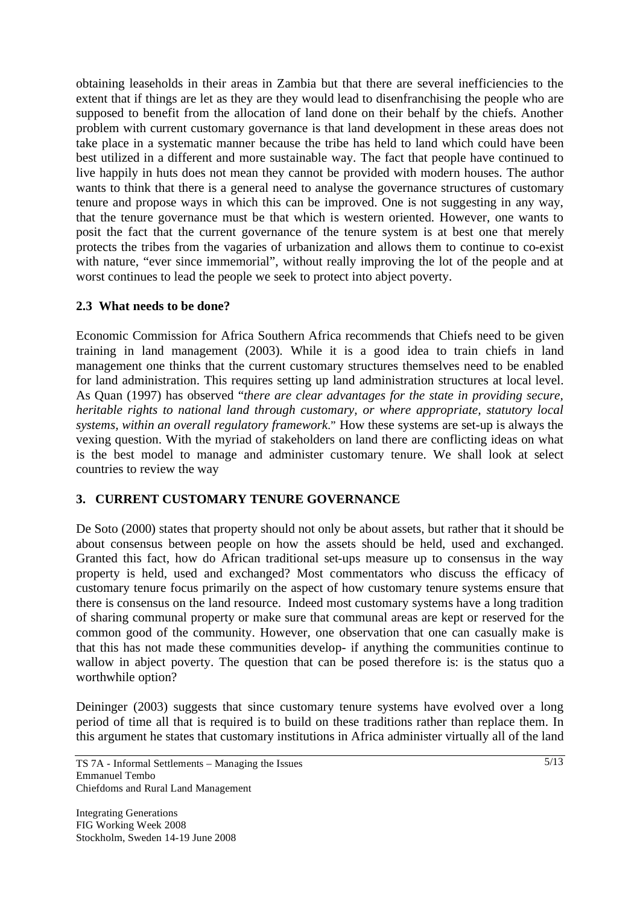obtaining leaseholds in their areas in Zambia but that there are several inefficiencies to the extent that if things are let as they are they would lead to disenfranchising the people who are supposed to benefit from the allocation of land done on their behalf by the chiefs. Another problem with current customary governance is that land development in these areas does not take place in a systematic manner because the tribe has held to land which could have been best utilized in a different and more sustainable way. The fact that people have continued to live happily in huts does not mean they cannot be provided with modern houses. The author wants to think that there is a general need to analyse the governance structures of customary tenure and propose ways in which this can be improved. One is not suggesting in any way, that the tenure governance must be that which is western oriented. However, one wants to posit the fact that the current governance of the tenure system is at best one that merely protects the tribes from the vagaries of urbanization and allows them to continue to co-exist with nature, "ever since immemorial", without really improving the lot of the people and at worst continues to lead the people we seek to protect into abject poverty.

## **2.3 What needs to be done?**

Economic Commission for Africa Southern Africa recommends that Chiefs need to be given training in land management (2003). While it is a good idea to train chiefs in land management one thinks that the current customary structures themselves need to be enabled for land administration. This requires setting up land administration structures at local level. As Quan (1997) has observed "*there are clear advantages for the state in providing secure, heritable rights to national land through customary, or where appropriate, statutory local systems, within an overall regulatory framework*." How these systems are set-up is always the vexing question. With the myriad of stakeholders on land there are conflicting ideas on what is the best model to manage and administer customary tenure. We shall look at select countries to review the way

## **3. CURRENT CUSTOMARY TENURE GOVERNANCE**

De Soto (2000) states that property should not only be about assets, but rather that it should be about consensus between people on how the assets should be held, used and exchanged. Granted this fact, how do African traditional set-ups measure up to consensus in the way property is held, used and exchanged? Most commentators who discuss the efficacy of customary tenure focus primarily on the aspect of how customary tenure systems ensure that there is consensus on the land resource. Indeed most customary systems have a long tradition of sharing communal property or make sure that communal areas are kept or reserved for the common good of the community. However, one observation that one can casually make is that this has not made these communities develop- if anything the communities continue to wallow in abject poverty. The question that can be posed therefore is: is the status quo a worthwhile option?

Deininger (2003) suggests that since customary tenure systems have evolved over a long period of time all that is required is to build on these traditions rather than replace them. In this argument he states that customary institutions in Africa administer virtually all of the land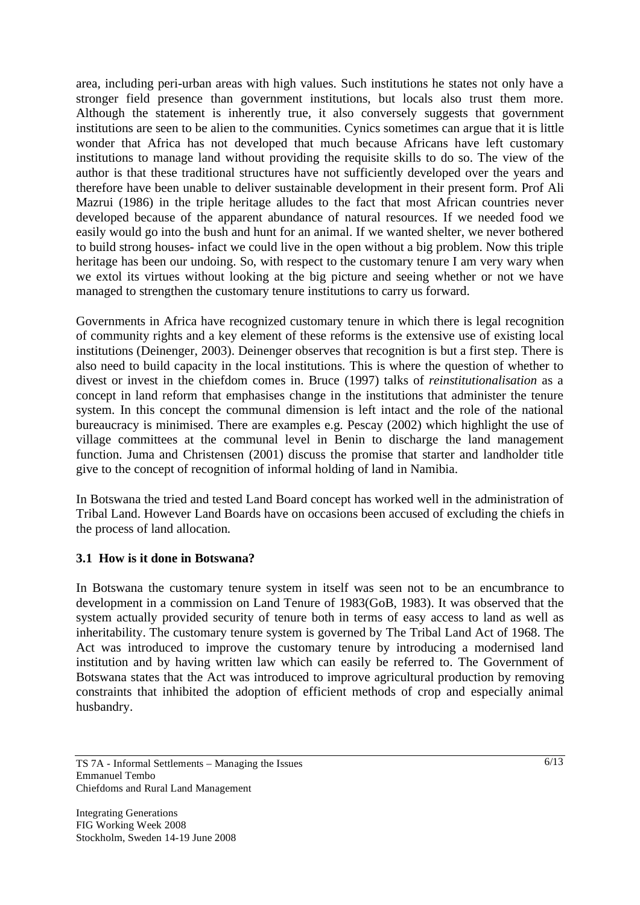area, including peri-urban areas with high values. Such institutions he states not only have a stronger field presence than government institutions, but locals also trust them more. Although the statement is inherently true, it also conversely suggests that government institutions are seen to be alien to the communities. Cynics sometimes can argue that it is little wonder that Africa has not developed that much because Africans have left customary institutions to manage land without providing the requisite skills to do so. The view of the author is that these traditional structures have not sufficiently developed over the years and therefore have been unable to deliver sustainable development in their present form. Prof Ali Mazrui (1986) in the triple heritage alludes to the fact that most African countries never developed because of the apparent abundance of natural resources. If we needed food we easily would go into the bush and hunt for an animal. If we wanted shelter, we never bothered to build strong houses- infact we could live in the open without a big problem. Now this triple heritage has been our undoing. So, with respect to the customary tenure I am very wary when we extol its virtues without looking at the big picture and seeing whether or not we have managed to strengthen the customary tenure institutions to carry us forward.

Governments in Africa have recognized customary tenure in which there is legal recognition of community rights and a key element of these reforms is the extensive use of existing local institutions (Deinenger, 2003). Deinenger observes that recognition is but a first step. There is also need to build capacity in the local institutions. This is where the question of whether to divest or invest in the chiefdom comes in. Bruce (1997) talks of *reinstitutionalisation* as a concept in land reform that emphasises change in the institutions that administer the tenure system. In this concept the communal dimension is left intact and the role of the national bureaucracy is minimised. There are examples e.g. Pescay (2002) which highlight the use of village committees at the communal level in Benin to discharge the land management function. Juma and Christensen (2001) discuss the promise that starter and landholder title give to the concept of recognition of informal holding of land in Namibia.

In Botswana the tried and tested Land Board concept has worked well in the administration of Tribal Land. However Land Boards have on occasions been accused of excluding the chiefs in the process of land allocation.

## **3.1 How is it done in Botswana?**

In Botswana the customary tenure system in itself was seen not to be an encumbrance to development in a commission on Land Tenure of 1983(GoB, 1983). It was observed that the system actually provided security of tenure both in terms of easy access to land as well as inheritability. The customary tenure system is governed by The Tribal Land Act of 1968. The Act was introduced to improve the customary tenure by introducing a modernised land institution and by having written law which can easily be referred to. The Government of Botswana states that the Act was introduced to improve agricultural production by removing constraints that inhibited the adoption of efficient methods of crop and especially animal husbandry.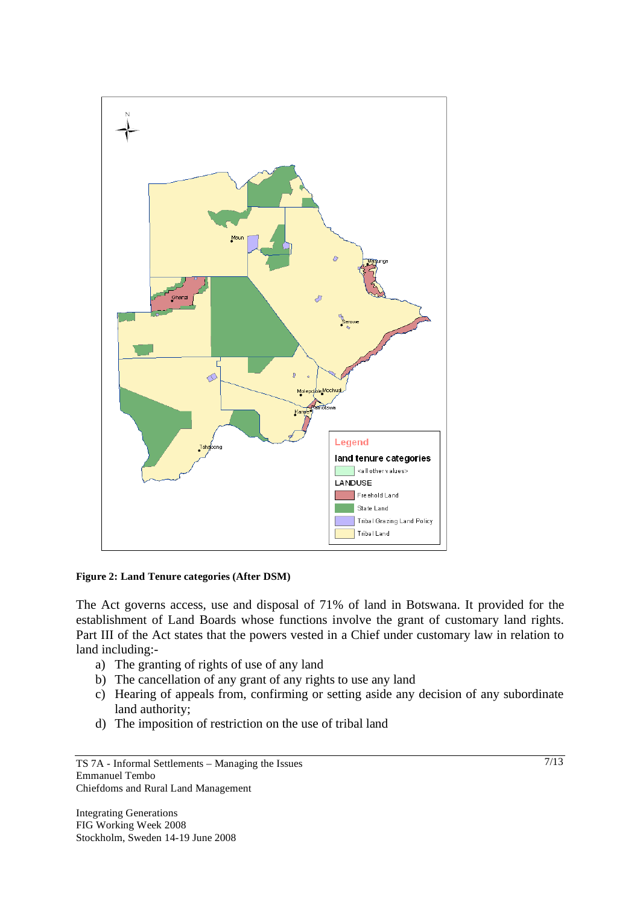

#### **Figure 2: Land Tenure categories (After DSM)**

The Act governs access, use and disposal of 71% of land in Botswana. It provided for the establishment of Land Boards whose functions involve the grant of customary land rights. Part III of the Act states that the powers vested in a Chief under customary law in relation to land including:-

- a) The granting of rights of use of any land
- b) The cancellation of any grant of any rights to use any land
- c) Hearing of appeals from, confirming or setting aside any decision of any subordinate land authority;
- d) The imposition of restriction on the use of tribal land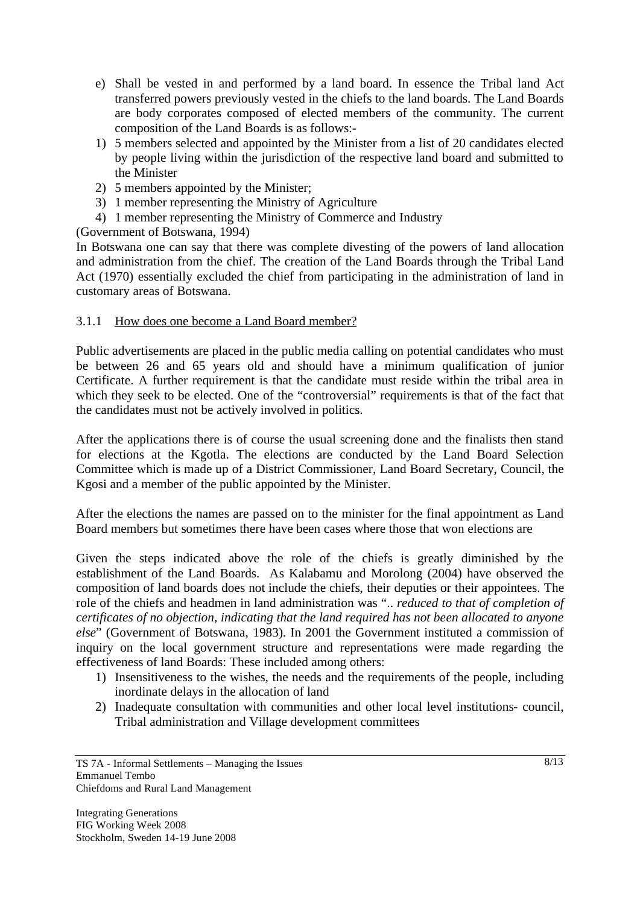- e) Shall be vested in and performed by a land board. In essence the Tribal land Act transferred powers previously vested in the chiefs to the land boards. The Land Boards are body corporates composed of elected members of the community. The current composition of the Land Boards is as follows:-
- 1) 5 members selected and appointed by the Minister from a list of 20 candidates elected by people living within the jurisdiction of the respective land board and submitted to the Minister
- 2) 5 members appointed by the Minister;
- 3) 1 member representing the Ministry of Agriculture
- 4) 1 member representing the Ministry of Commerce and Industry

(Government of Botswana, 1994)

In Botswana one can say that there was complete divesting of the powers of land allocation and administration from the chief. The creation of the Land Boards through the Tribal Land Act (1970) essentially excluded the chief from participating in the administration of land in customary areas of Botswana.

#### 3.1.1 How does one become a Land Board member?

Public advertisements are placed in the public media calling on potential candidates who must be between 26 and 65 years old and should have a minimum qualification of junior Certificate. A further requirement is that the candidate must reside within the tribal area in which they seek to be elected. One of the "controversial" requirements is that of the fact that the candidates must not be actively involved in politics.

After the applications there is of course the usual screening done and the finalists then stand for elections at the Kgotla. The elections are conducted by the Land Board Selection Committee which is made up of a District Commissioner, Land Board Secretary, Council, the Kgosi and a member of the public appointed by the Minister.

After the elections the names are passed on to the minister for the final appointment as Land Board members but sometimes there have been cases where those that won elections are

Given the steps indicated above the role of the chiefs is greatly diminished by the establishment of the Land Boards. As Kalabamu and Morolong (2004) have observed the composition of land boards does not include the chiefs, their deputies or their appointees. The role of the chiefs and headmen in land administration was ".. *reduced to that of completion of certificates of no objection, indicating that the land required has not been allocated to anyone else*" (Government of Botswana, 1983). In 2001 the Government instituted a commission of inquiry on the local government structure and representations were made regarding the effectiveness of land Boards: These included among others:

- 1) Insensitiveness to the wishes, the needs and the requirements of the people, including inordinate delays in the allocation of land
- 2) Inadequate consultation with communities and other local level institutions- council, Tribal administration and Village development committees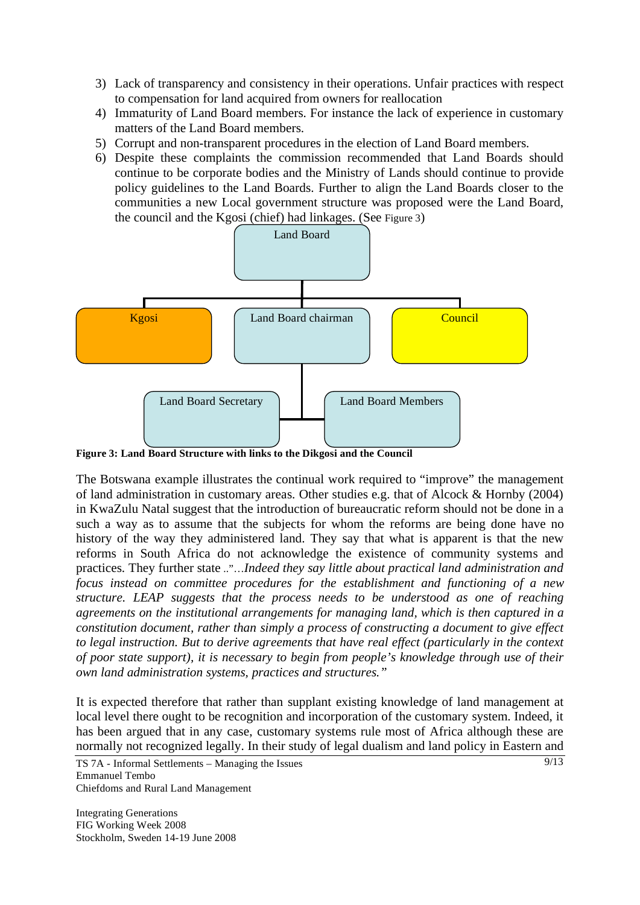- 3) Lack of transparency and consistency in their operations. Unfair practices with respect to compensation for land acquired from owners for reallocation
- 4) Immaturity of Land Board members. For instance the lack of experience in customary matters of the Land Board members.
- 5) Corrupt and non-transparent procedures in the election of Land Board members.
- 6) Despite these complaints the commission recommended that Land Boards should continue to be corporate bodies and the Ministry of Lands should continue to provide policy guidelines to the Land Boards. Further to align the Land Boards closer to the communities a new Local government structure was proposed were the Land Board, the council and the Kgosi (chief) had linkages. (See Figure 3)



**Figure 3: Land Board Structure with links to the Dikgosi and the Council** 

The Botswana example illustrates the continual work required to "improve" the management of land administration in customary areas. Other studies e.g. that of Alcock & Hornby (2004) in KwaZulu Natal suggest that the introduction of bureaucratic reform should not be done in a such a way as to assume that the subjects for whom the reforms are being done have no history of the way they administered land. They say that what is apparent is that the new reforms in South Africa do not acknowledge the existence of community systems and practices. They further state .."…*Indeed they say little about practical land administration and focus instead on committee procedures for the establishment and functioning of a new structure. LEAP suggests that the process needs to be understood as one of reaching agreements on the institutional arrangements for managing land, which is then captured in a constitution document, rather than simply a process of constructing a document to give effect to legal instruction. But to derive agreements that have real effect (particularly in the context of poor state support), it is necessary to begin from people's knowledge through use of their own land administration systems, practices and structures."* 

It is expected therefore that rather than supplant existing knowledge of land management at local level there ought to be recognition and incorporation of the customary system. Indeed, it has been argued that in any case, customary systems rule most of Africa although these are normally not recognized legally. In their study of legal dualism and land policy in Eastern and

TS 7A - Informal Settlements – Managing the Issues Emmanuel Tembo Chiefdoms and Rural Land Management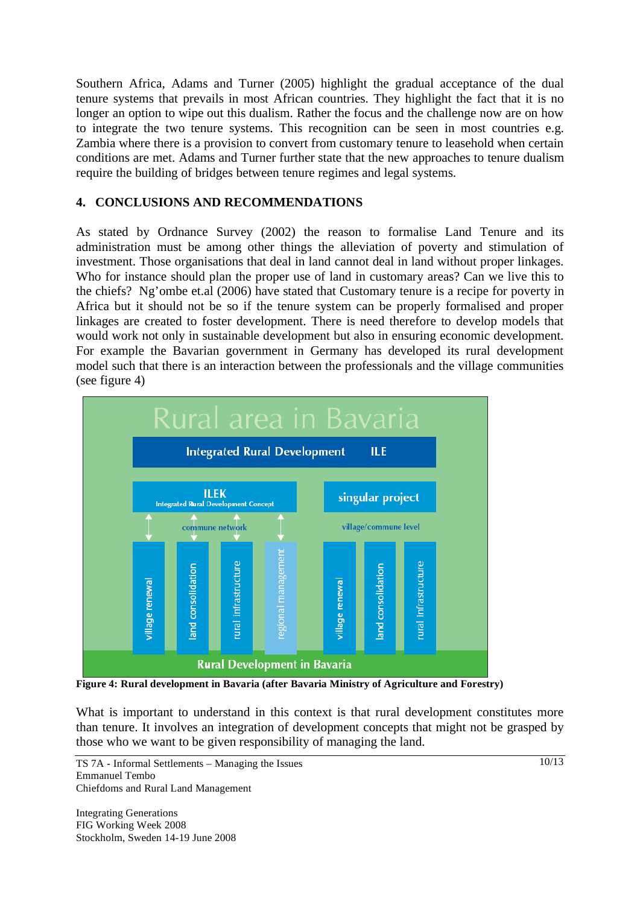Southern Africa, Adams and Turner (2005) highlight the gradual acceptance of the dual tenure systems that prevails in most African countries. They highlight the fact that it is no longer an option to wipe out this dualism. Rather the focus and the challenge now are on how to integrate the two tenure systems. This recognition can be seen in most countries e.g. Zambia where there is a provision to convert from customary tenure to leasehold when certain conditions are met. Adams and Turner further state that the new approaches to tenure dualism require the building of bridges between tenure regimes and legal systems.

## **4. CONCLUSIONS AND RECOMMENDATIONS**

As stated by Ordnance Survey (2002) the reason to formalise Land Tenure and its administration must be among other things the alleviation of poverty and stimulation of investment. Those organisations that deal in land cannot deal in land without proper linkages. Who for instance should plan the proper use of land in customary areas? Can we live this to the chiefs? Ng'ombe et.al (2006) have stated that Customary tenure is a recipe for poverty in Africa but it should not be so if the tenure system can be properly formalised and proper linkages are created to foster development. There is need therefore to develop models that would work not only in sustainable development but also in ensuring economic development. For example the Bavarian government in Germany has developed its rural development model such that there is an interaction between the professionals and the village communities (see figure 4)



**Figure 4: Rural development in Bavaria (after Bavaria Ministry of Agriculture and Forestry)** 

What is important to understand in this context is that rural development constitutes more than tenure. It involves an integration of development concepts that might not be grasped by those who we want to be given responsibility of managing the land.

TS 7A - Informal Settlements – Managing the Issues Emmanuel Tembo Chiefdoms and Rural Land Management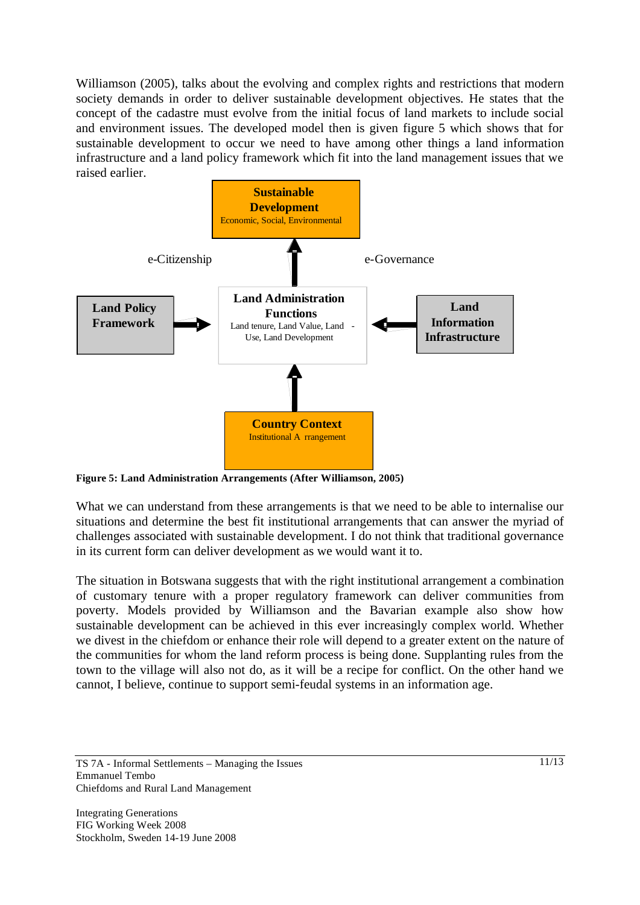Williamson (2005), talks about the evolving and complex rights and restrictions that modern society demands in order to deliver sustainable development objectives. He states that the concept of the cadastre must evolve from the initial focus of land markets to include social and environment issues. The developed model then is given figure 5 which shows that for sustainable development to occur we need to have among other things a land information infrastructure and a land policy framework which fit into the land management issues that we raised earlier.



**Figure 5: Land Administration Arrangements (After Williamson, 2005)** 

What we can understand from these arrangements is that we need to be able to internalise our situations and determine the best fit institutional arrangements that can answer the myriad of challenges associated with sustainable development. I do not think that traditional governance in its current form can deliver development as we would want it to.

The situation in Botswana suggests that with the right institutional arrangement a combination of customary tenure with a proper regulatory framework can deliver communities from poverty. Models provided by Williamson and the Bavarian example also show how sustainable development can be achieved in this ever increasingly complex world. Whether we divest in the chiefdom or enhance their role will depend to a greater extent on the nature of the communities for whom the land reform process is being done. Supplanting rules from the town to the village will also not do, as it will be a recipe for conflict. On the other hand we cannot, I believe, continue to support semi-feudal systems in an information age.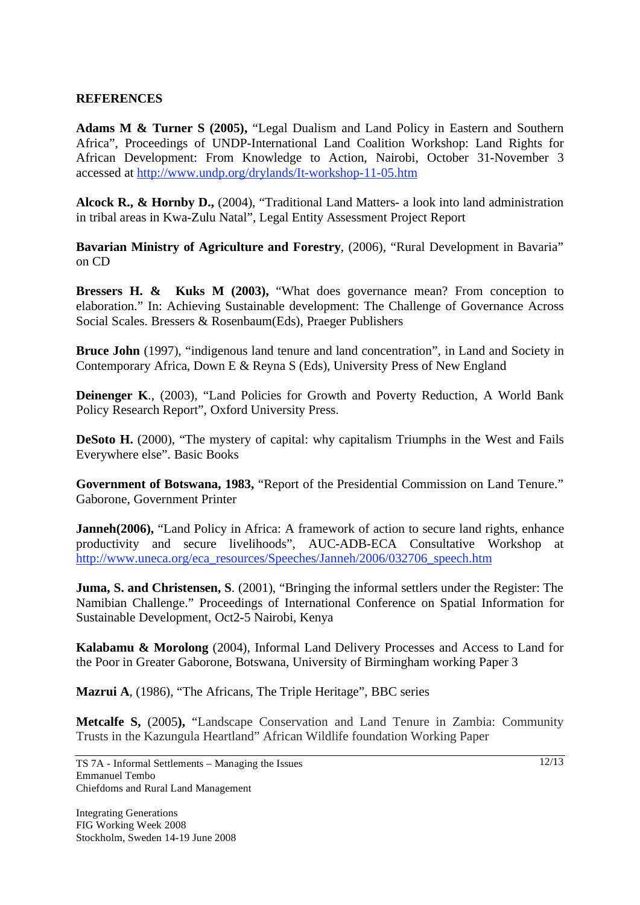### **REFERENCES**

**Adams M & Turner S (2005),** "Legal Dualism and Land Policy in Eastern and Southern Africa", Proceedings of UNDP-International Land Coalition Workshop: Land Rights for African Development: From Knowledge to Action, Nairobi, October 31-November 3 accessed at http://www.undp.org/drylands/It-workshop-11-05.htm

**Alcock R., & Hornby D.,** (2004), "Traditional Land Matters- a look into land administration in tribal areas in Kwa-Zulu Natal", Legal Entity Assessment Project Report

**Bavarian Ministry of Agriculture and Forestry**, (2006), "Rural Development in Bavaria" on CD

**Bressers H. & Kuks M (2003), "What does governance mean? From conception to** elaboration." In: Achieving Sustainable development: The Challenge of Governance Across Social Scales. Bressers & Rosenbaum(Eds), Praeger Publishers

**Bruce John** (1997), "indigenous land tenure and land concentration", in Land and Society in Contemporary Africa, Down E & Reyna S (Eds), University Press of New England

**Deinenger K**., (2003), "Land Policies for Growth and Poverty Reduction, A World Bank Policy Research Report", Oxford University Press.

**DeSoto H.** (2000), "The mystery of capital: why capitalism Triumphs in the West and Fails Everywhere else". Basic Books

**Government of Botswana, 1983,** "Report of the Presidential Commission on Land Tenure." Gaborone, Government Printer

**Janneh(2006), "Land Policy in Africa: A framework of action to secure land rights, enhance** productivity and secure livelihoods", AUC-ADB-ECA Consultative Workshop at http://www.uneca.org/eca\_resources/Speeches/Janneh/2006/032706\_speech.htm

**Juma, S. and Christensen, S**. (2001), "Bringing the informal settlers under the Register: The Namibian Challenge." Proceedings of International Conference on Spatial Information for Sustainable Development, Oct2-5 Nairobi, Kenya

**Kalabamu & Morolong** (2004), Informal Land Delivery Processes and Access to Land for the Poor in Greater Gaborone, Botswana, University of Birmingham working Paper 3

**Mazrui A**, (1986), "The Africans, The Triple Heritage", BBC series

**Metcalfe S,** (2005**),** "Landscape Conservation and Land Tenure in Zambia: Community Trusts in the Kazungula Heartland" African Wildlife foundation Working Paper